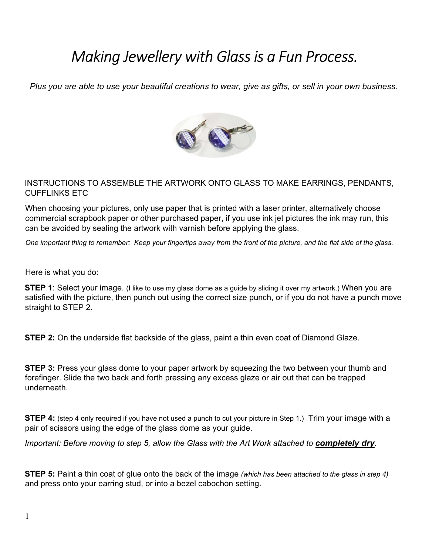## *Making Jewellery with Glass is a Fun Process.*

*Plus you are able to use your beautiful creations to wear, give as gifts, or sell in your own business.*



## INSTRUCTIONS TO ASSEMBLE THE ARTWORK ONTO GLASS TO MAKE EARRINGS, PENDANTS, CUFFLINKS ETC

When choosing your pictures, only use paper that is printed with a laser printer, alternatively choose commercial scrapbook paper or other purchased paper, if you use ink jet pictures the ink may run, this can be avoided by sealing the artwork with varnish before applying the glass.

*One important thing to remember: Keep your fingertips away from the front of the picture, and the flat side of the glass.*

Here is what you do:

**STEP 1**: Select your image. (I like to use my glass dome as a guide by sliding it over my artwork.) When you are satisfied with the picture, then punch out using the correct size punch, or if you do not have a punch move straight to STEP 2.

**STEP 2:** On the underside flat backside of the glass, paint a thin even coat of Diamond Glaze.

**STEP 3:** Press your glass dome to your paper artwork by squeezing the two between your thumb and forefinger. Slide the two back and forth pressing any excess glaze or air out that can be trapped underneath.

**STEP 4:** (step 4 only required if you have not used a punch to cut your picture in Step 1.) Trim your image with a pair of scissors using the edge of the glass dome as your guide.

*Important: Before moving to step 5, allow the Glass with the Art Work attached to <i>completely dry*.

**STEP 5:** Paint a thin coat of glue onto the back of the image *(which has been attached to the glass in step 4)* and press onto your earring stud, or into a bezel cabochon setting.